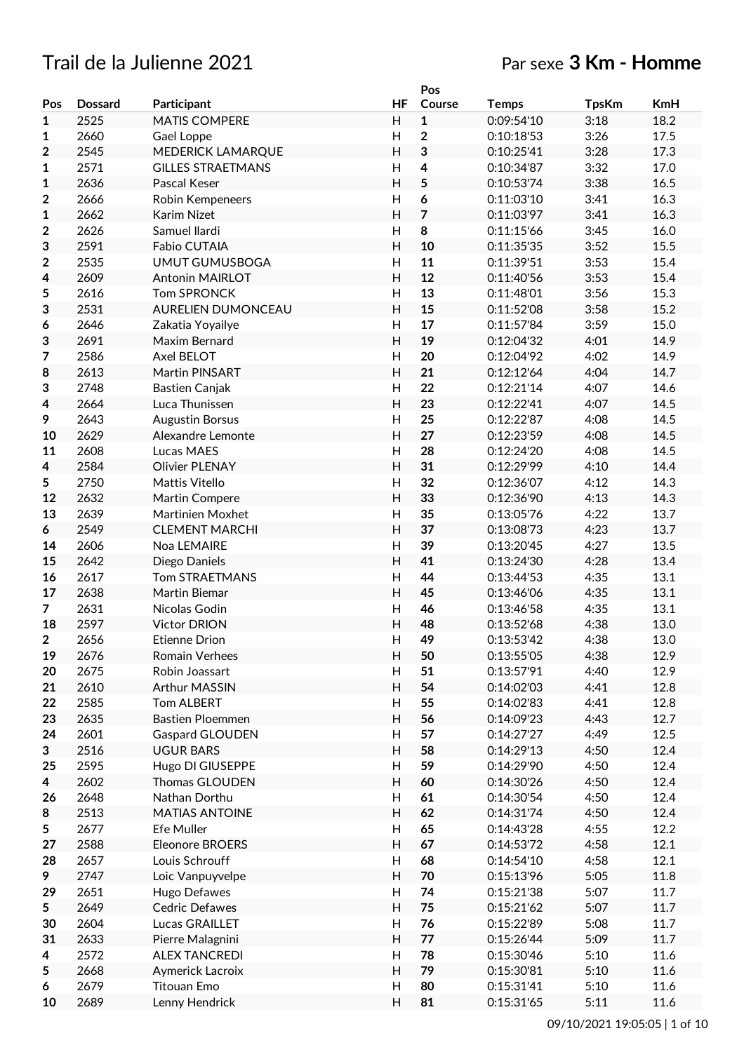# Trail de la Julienne 2021 Par sexe **3 Km - Homme**

|                |                |                          |                | Pos                     |              |              |            |
|----------------|----------------|--------------------------|----------------|-------------------------|--------------|--------------|------------|
| Pos            | <b>Dossard</b> | Participant              | HF             | Course                  | <b>Temps</b> | <b>TpsKm</b> | <b>KmH</b> |
| $\mathbf{1}$   | 2525           | <b>MATIS COMPERE</b>     | H              | $\mathbf 1$             | 0:09:54'10   | 3:18         | 18.2       |
| 1              | 2660           | Gael Loppe               | $\mathsf{H}$   | $\overline{\mathbf{c}}$ | 0:10:18'53   | 3:26         | 17.5       |
| 2              | 2545           | MEDERICK LAMARQUE        | $\overline{H}$ | 3                       | 0:10:25'41   | 3:28         | 17.3       |
| $\mathbf 1$    | 2571           | <b>GILLES STRAETMANS</b> | H              | $\overline{\mathbf{4}}$ | 0:10:34'87   | 3:32         | 17.0       |
| 1              | 2636           | Pascal Keser             | H              | 5                       | 0:10:53'74   | 3:38         | 16.5       |
| $\mathbf 2$    | 2666           | Robin Kempeneers         | H              | 6                       | 0:11:03'10   | 3:41         | 16.3       |
| 1              | 2662           | Karim Nizet              | H              | $\overline{7}$          | 0:11:03'97   | 3:41         | 16.3       |
| 2              | 2626           | Samuel Ilardi            | H              | 8                       | 0:11:15'66   | 3:45         | 16.0       |
| 3              | 2591           | Fabio CUTAIA             | Н              | 10                      | 0:11:35'35   | 3:52         | 15.5       |
|                |                |                          |                |                         | 0:11:39'51   |              |            |
| 2              | 2535           | <b>UMUT GUMUSBOGA</b>    | H              | 11                      |              | 3:53         | 15.4       |
| 4              | 2609           | <b>Antonin MAIRLOT</b>   | H              | 12                      | 0:11:40'56   | 3:53         | 15.4       |
| 5              | 2616           | <b>Tom SPRONCK</b>       | $\mathsf{H}$   | 13                      | 0:11:48'01   | 3:56         | 15.3       |
| 3              | 2531           | AURELIEN DUMONCEAU       | H              | 15                      | 0:11:52'08   | 3:58         | 15.2       |
| 6              | 2646           | Zakatia Yoyailye         | Η              | 17                      | 0:11:57'84   | 3:59         | 15.0       |
| 3              | 2691           | Maxim Bernard            | Н              | 19                      | 0:12:04'32   | 4:01         | 14.9       |
| 7              | 2586           | Axel BELOT               | $\mathsf{H}$   | 20                      | 0:12:04'92   | 4:02         | 14.9       |
| 8              | 2613           | Martin PINSART           | H              | 21                      | 0:12:12'64   | 4:04         | 14.7       |
| 3              | 2748           | Bastien Canjak           | H              | 22                      | 0:12:21'14   | 4:07         | 14.6       |
| 4              | 2664           | Luca Thunissen           | H              | 23                      | 0:12:22'41   | 4:07         | 14.5       |
| 9              | 2643           | <b>Augustin Borsus</b>   | H              | 25                      | 0:12:22'87   | 4:08         | 14.5       |
| 10             | 2629           | Alexandre Lemonte        | H              | 27                      | 0:12:23'59   | 4:08         | 14.5       |
| 11             | 2608           | Lucas MAES               | $\mathsf{H}$   | 28                      | 0:12:24'20   | 4:08         | 14.5       |
| 4              | 2584           | <b>Olivier PLENAY</b>    | H              | 31                      | 0:12:29'99   | 4:10         | 14.4       |
| 5              | 2750           | Mattis Vitello           | H              | 32                      | 0:12:36'07   | 4:12         | 14.3       |
| 12             | 2632           | Martin Compere           | H              | 33                      | 0:12:36'90   | 4:13         | 14.3       |
| 13             | 2639           | Martinien Moxhet         | Η              | 35                      | 0:13:05'76   | 4:22         | 13.7       |
| 6              | 2549           | <b>CLEMENT MARCHI</b>    | H              | 37                      | 0:13:08'73   | 4:23         | 13.7       |
| 14             | 2606           | Noa LEMAIRE              | H              | 39                      | 0:13:20'45   | 4:27         | 13.5       |
| 15             | 2642           | Diego Daniels            | Н              | 41                      | 0:13:24'30   | 4:28         | 13.4       |
| 16             | 2617           | <b>Tom STRAETMANS</b>    | H              | 44                      | 0:13:44'53   | 4:35         | 13.1       |
| 17             | 2638           | Martin Biemar            | H              | 45                      | 0:13:46'06   | 4:35         | 13.1       |
|                | 2631           |                          | $\mathsf{H}$   | 46                      |              |              |            |
| $\overline{7}$ | 2597           | Nicolas Godin            | $\overline{H}$ |                         | 0:13:46'58   | 4:35         | 13.1       |
| 18             |                | <b>Victor DRION</b>      |                | 48                      | 0:13:52'68   | 4:38         | 13.0       |
| 2              | 2656           | Etienne Drion            | Η              | 49                      | 0:13:53'42   | 4:38         | 13.0       |
| 19             | 2676           | Romain Verhees           | Н              | 50                      | 0:13:55'05   | 4:38         | 12.9       |
| 20             | 2675           | Robin Joassart           | H              | 51                      | 0:13:57'91   | 4:40         | 12.9       |
| 21             | 2610           | Arthur MASSIN            | H              | 54                      | 0:14:02'03   | 4:41         | 12.8       |
| 22             | 2585           | Tom ALBERT               | H              | 55                      | 0:14:02'83   | 4:41         | 12.8       |
| 23             | 2635           | <b>Bastien Ploemmen</b>  | Н              | 56                      | 0:14:09'23   | 4:43         | 12.7       |
| 24             | 2601           | <b>Gaspard GLOUDEN</b>   | H              | 57                      | 0:14:27'27   | 4:49         | 12.5       |
| 3              | 2516           | <b>UGUR BARS</b>         | Н              | 58                      | 0:14:29'13   | 4:50         | 12.4       |
| 25             | 2595           | Hugo DI GIUSEPPE         | $\mathsf{H}$   | 59                      | 0:14:29'90   | 4:50         | 12.4       |
| 4              | 2602           | Thomas GLOUDEN           | Н              | 60                      | 0:14:30'26   | 4:50         | 12.4       |
| 26             | 2648           | Nathan Dorthu            | Н              | 61                      | 0:14:30'54   | 4:50         | 12.4       |
| 8              | 2513           | <b>MATIAS ANTOINE</b>    | H              | 62                      | 0:14:31'74   | 4:50         | 12.4       |
| 5              | 2677           | Efe Muller               | $\mathsf{H}$   | 65                      | 0:14:43'28   | 4:55         | 12.2       |
| 27             | 2588           | Eleonore BROERS          | H              | 67                      | 0:14:53'72   | 4:58         | 12.1       |
| 28             | 2657           | Louis Schrouff           | Н              | 68                      | 0:14:54'10   | 4:58         | 12.1       |
| 9              | 2747           | Loic Vanpuyvelpe         | Н              | 70                      | 0:15:13'96   | 5:05         | 11.8       |
| 29             | 2651           | Hugo Defawes             | $\overline{H}$ | 74                      | 0:15:21'38   | 5:07         | 11.7       |
| 5              | 2649           | Cedric Defawes           | Н              | 75                      | 0:15:21'62   | 5:07         | 11.7       |
| 30             | 2604           | Lucas GRAILLET           | $\mathsf{H}$   | 76                      | 0:15:22'89   | 5:08         | 11.7       |
| 31             | 2633           | Pierre Malagnini         | H              | $77$                    | 0:15:26'44   | 5:09         | 11.7       |
| 4              | 2572           | <b>ALEX TANCREDI</b>     | H              | 78                      | 0:15:30'46   | 5:10         | 11.6       |
| 5              | 2668           | Aymerick Lacroix         | H              | 79                      | 0:15:30'81   | 5:10         | 11.6       |
| 6              | 2679           | <b>Titouan Emo</b>       | H              | 80                      | 0:15:31'41   | 5:10         | 11.6       |
| 10             |                |                          | Н              | 81                      |              |              |            |
|                | 2689           | Lenny Hendrick           |                |                         | 0:15:31'65   | 5:11         | 11.6       |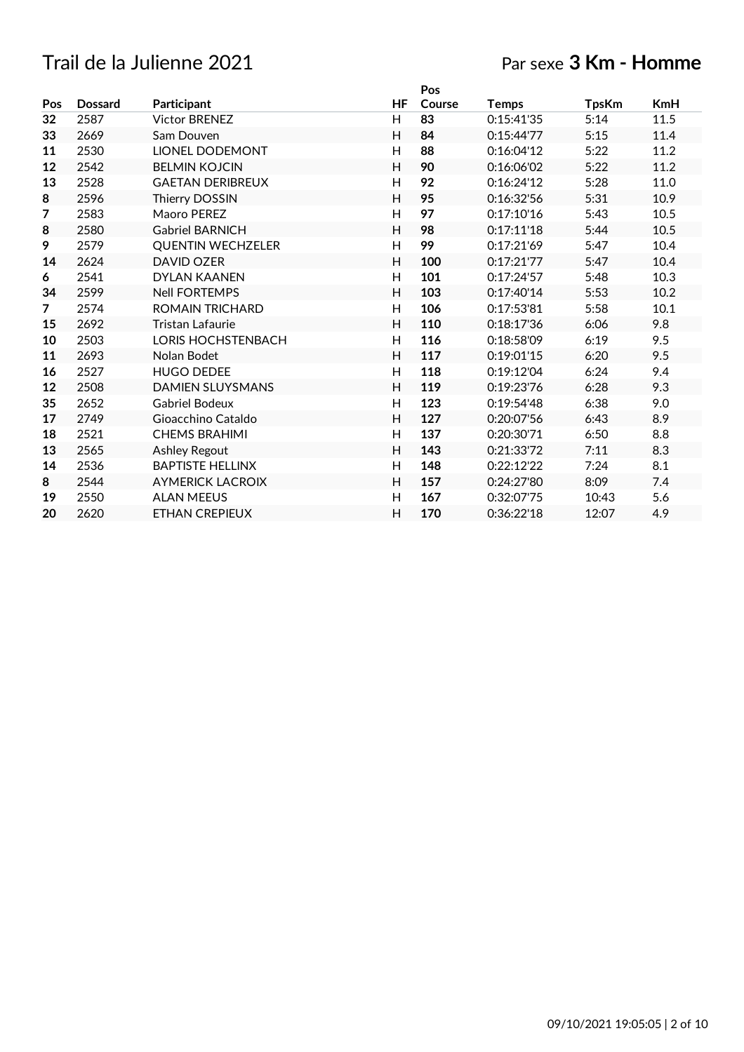# Trail de la Julienne 2021

# Par sexe **3 Km - Homme**

|     |                |                          |                | Pos    |              |              |            |
|-----|----------------|--------------------------|----------------|--------|--------------|--------------|------------|
| Pos | <b>Dossard</b> | Participant              | HF             | Course | <b>Temps</b> | <b>TpsKm</b> | <b>KmH</b> |
| 32  | 2587           | <b>Victor BRENEZ</b>     | H              | 83     | 0:15:41'35   | 5:14         | 11.5       |
| 33  | 2669           | Sam Douven               | H              | 84     | 0:15:44'77   | 5:15         | 11.4       |
| 11  | 2530           | <b>LIONEL DODEMONT</b>   | H              | 88     | 0:16:04'12   | 5:22         | 11.2       |
| 12  | 2542           | <b>BELMIN KOJCIN</b>     | H              | 90     | 0:16:06'02   | 5:22         | 11.2       |
| 13  | 2528           | <b>GAETAN DERIBREUX</b>  | H              | 92     | 0:16:24'12   | 5:28         | 11.0       |
| 8   | 2596           | Thierry DOSSIN           | H              | 95     | 0:16:32'56   | 5:31         | 10.9       |
| 7   | 2583           | Maoro PEREZ              | H              | 97     | 0:17:10'16   | 5:43         | 10.5       |
| 8   | 2580           | <b>Gabriel BARNICH</b>   | H              | 98     | 0:17:11'18   | 5:44         | 10.5       |
| 9   | 2579           | <b>QUENTIN WECHZELER</b> | H              | 99     | 0:17:21'69   | 5:47         | 10.4       |
| 14  | 2624           | <b>DAVID OZER</b>        | H              | 100    | 0:17:21'77   | 5:47         | 10.4       |
| 6   | 2541           | <b>DYLAN KAANEN</b>      | $\overline{H}$ | 101    | 0:17:24'57   | 5:48         | 10.3       |
| 34  | 2599           | <b>Nell FORTEMPS</b>     | H              | 103    | 0:17:40'14   | 5:53         | 10.2       |
| 7   | 2574           | <b>ROMAIN TRICHARD</b>   | Н              | 106    | 0:17:53'81   | 5:58         | 10.1       |
| 15  | 2692           | <b>Tristan Lafaurie</b>  | H              | 110    | 0:18:17'36   | 6:06         | 9.8        |
| 10  | 2503           | LORIS HOCHSTENBACH       | H              | 116    | 0:18:58'09   | 6:19         | 9.5        |
| 11  | 2693           | Nolan Bodet              | H              | 117    | 0:19:01'15   | 6:20         | 9.5        |
| 16  | 2527           | <b>HUGO DEDEE</b>        | H              | 118    | 0:19:12'04   | 6:24         | 9.4        |
| 12  | 2508           | <b>DAMIEN SLUYSMANS</b>  | H              | 119    | 0:19:23'76   | 6:28         | 9.3        |
| 35  | 2652           | <b>Gabriel Bodeux</b>    | $\mathsf{H}$   | 123    | 0:19:54'48   | 6:38         | 9.0        |
| 17  | 2749           | Gioacchino Cataldo       | H              | 127    | 0:20:07'56   | 6:43         | 8.9        |
| 18  | 2521           | <b>CHEMS BRAHIMI</b>     | $\mathsf{H}$   | 137    | 0:20:30'71   | 6:50         | 8.8        |
| 13  | 2565           | <b>Ashley Regout</b>     | H              | 143    | 0:21:33'72   | 7:11         | 8.3        |
| 14  | 2536           | <b>BAPTISTE HELLINX</b>  | $\mathsf{H}$   | 148    | 0:22:12'22   | 7:24         | 8.1        |
| 8   | 2544           | <b>AYMERICK LACROIX</b>  | H              | 157    | 0:24:27'80   | 8:09         | 7.4        |
| 19  | 2550           | <b>ALAN MEEUS</b>        | H              | 167    | 0:32:07'75   | 10:43        | 5.6        |
| 20  | 2620           | <b>ETHAN CREPIEUX</b>    | H              | 170    | 0:36:22'18   | 12:07        | 4.9        |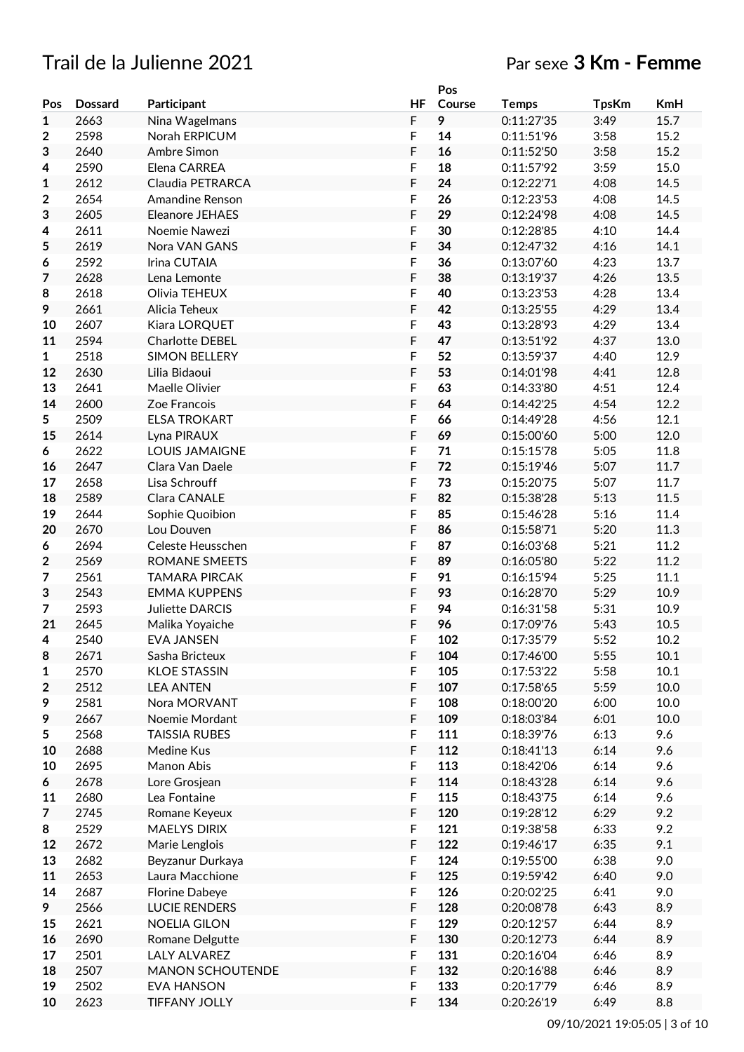# Trail de la Julienne 2021 Par sexe **3 Km - Femme**

|                         |                |                         |    | Pos    |              |              |            |
|-------------------------|----------------|-------------------------|----|--------|--------------|--------------|------------|
| Pos                     | <b>Dossard</b> | Participant             | HF | Course | <b>Temps</b> | <b>TpsKm</b> | <b>KmH</b> |
| $\mathbf{1}$            | 2663           | Nina Wagelmans          | F  | 9      | 0:11:27'35   | 3:49         | 15.7       |
|                         | 2598           | Norah ERPICUM           | F  | 14     | 0:11:51'96   | 3:58         | 15.2       |
| $\boldsymbol{2}$        |                |                         |    |        |              |              |            |
| 3                       | 2640           | Ambre Simon             | F  | 16     | 0:11:52'50   | 3:58         | 15.2       |
| 4                       | 2590           | Elena CARREA            | F  | 18     | 0:11:57'92   | 3:59         | 15.0       |
| 1                       | 2612           | Claudia PETRARCA        | F  | 24     | 0:12:22'71   | 4:08         | 14.5       |
| 2                       | 2654           | Amandine Renson         | F  | 26     | 0:12:23'53   | 4:08         | 14.5       |
| 3                       | 2605           | Eleanore JEHAES         | F  | 29     | 0:12:24'98   | 4:08         | 14.5       |
| 4                       | 2611           | Noemie Nawezi           | F  | 30     | 0:12:28'85   | 4:10         | 14.4       |
| 5                       | 2619           | Nora VAN GANS           | F  | 34     | 0:12:47'32   | 4:16         | 14.1       |
| 6                       | 2592           | Irina CUTAIA            | F  | 36     | 0:13:07'60   | 4:23         | 13.7       |
|                         |                |                         |    |        |              |              |            |
| $\overline{7}$          | 2628           | Lena Lemonte            | F  | 38     | 0:13:19'37   | 4:26         | 13.5       |
| 8                       | 2618           | Olivia TEHEUX           | F  | 40     | 0:13:23'53   | 4:28         | 13.4       |
| 9                       | 2661           | Alicia Teheux           | F  | 42     | 0:13:25'55   | 4:29         | 13.4       |
| 10                      | 2607           | Kiara LORQUET           | F  | 43     | 0:13:28'93   | 4:29         | 13.4       |
| 11                      | 2594           | Charlotte DEBEL         | F  | 47     | 0:13:51'92   | 4:37         | 13.0       |
| $\mathbf{1}$            | 2518           | <b>SIMON BELLERY</b>    | F  | 52     | 0:13:59'37   | 4:40         | 12.9       |
| 12                      | 2630           | Lilia Bidaoui           | F  | 53     | 0:14:01'98   | 4:41         | 12.8       |
| 13                      | 2641           | Maelle Olivier          | F  | 63     | 0:14:33'80   | 4:51         | 12.4       |
|                         | 2600           |                         | F  | 64     |              | 4:54         | 12.2       |
| 14                      |                | Zoe Francois            |    |        | 0:14:42'25   |              |            |
| 5                       | 2509           | <b>ELSA TROKART</b>     | F  | 66     | 0:14:49'28   | 4:56         | 12.1       |
| 15                      | 2614           | Lyna PIRAUX             | F  | 69     | 0:15:00'60   | 5:00         | 12.0       |
| 6                       | 2622           | <b>LOUIS JAMAIGNE</b>   | F  | 71     | 0:15:15'78   | 5:05         | 11.8       |
| 16                      | 2647           | Clara Van Daele         | F  | 72     | 0:15:19'46   | 5:07         | 11.7       |
| 17                      | 2658           | Lisa Schrouff           | F  | 73     | 0:15:20'75   | 5:07         | 11.7       |
| 18                      | 2589           | Clara CANALE            | F  | 82     | 0:15:38'28   | 5:13         | 11.5       |
| 19                      | 2644           | Sophie Quoibion         | F  | 85     | 0:15:46'28   | 5:16         | 11.4       |
| 20                      | 2670           | Lou Douven              | F  | 86     | 0:15:58'71   | 5:20         | 11.3       |
|                         |                |                         |    |        |              |              |            |
| 6                       | 2694           | Celeste Heusschen       | F  | 87     | 0:16:03'68   | 5:21         | 11.2       |
| $\mathbf 2$             | 2569           | ROMANE SMEETS           | F  | 89     | 0:16:05'80   | 5:22         | 11.2       |
| 7                       | 2561           | <b>TAMARA PIRCAK</b>    | F  | 91     | 0:16:15'94   | 5:25         | 11.1       |
| 3                       | 2543           | <b>EMMA KUPPENS</b>     | F  | 93     | 0:16:28'70   | 5:29         | 10.9       |
| 7                       | 2593           | Juliette DARCIS         | F  | 94     | 0:16:31'58   | 5:31         | 10.9       |
| 21                      | 2645           | Malika Yoyaiche         | F  | 96     | 0:17:09'76   | 5:43         | 10.5       |
| 4                       | 2540           | <b>EVA JANSEN</b>       | F  | 102    | 0:17:35'79   | 5:52         | 10.2       |
| 8                       | 2671           | Sasha Bricteux          | F  | 104    | 0:17:46'00   | 5:55         | 10.1       |
|                         | 2570           | <b>KLOE STASSIN</b>     | F  | 105    | 0:17:53'22   | 5:58         | 10.1       |
| 1                       |                |                         |    |        |              |              |            |
| $\overline{\mathbf{2}}$ | 2512           | <b>LEA ANTEN</b>        | F  | 107    | 0:17:58'65   | 5:59         | 10.0       |
| 9                       | 2581           | Nora MORVANT            | F  | 108    | 0:18:00'20   | 6:00         | 10.0       |
| 9                       | 2667           | Noemie Mordant          | F  | 109    | 0:18:03'84   | 6:01         | 10.0       |
| 5                       | 2568           | <b>TAISSIA RUBES</b>    | F  | 111    | 0:18:39'76   | 6:13         | 9.6        |
| 10                      | 2688           | Medine Kus              | F  | 112    | 0:18:41'13   | 6:14         | 9.6        |
| 10                      | 2695           | Manon Abis              | F  | 113    | 0:18:42'06   | 6:14         | 9.6        |
| 6                       | 2678           | Lore Grosjean           | F  | 114    | 0:18:43'28   | 6:14         | 9.6        |
| 11                      | 2680           | Lea Fontaine            | F  | 115    | 0:18:43'75   | 6:14         | 9.6        |
| $\overline{7}$          | 2745           | Romane Keyeux           | F  | 120    | 0:19:28'12   | 6:29         | 9.2        |
|                         |                |                         |    |        |              |              |            |
| 8                       | 2529           | <b>MAELYS DIRIX</b>     | F  | 121    | 0:19:38'58   | 6:33         | 9.2        |
| 12                      | 2672           | Marie Lenglois          | F  | 122    | 0:19:46'17   | 6:35         | 9.1        |
| 13                      | 2682           | Beyzanur Durkaya        | F  | 124    | 0:19:55'00   | 6:38         | 9.0        |
| 11                      | 2653           | Laura Macchione         | F  | 125    | 0:19:59'42   | 6:40         | 9.0        |
| 14                      | 2687           | Florine Dabeye          | F  | 126    | 0:20:02'25   | 6:41         | 9.0        |
| 9                       | 2566           | <b>LUCIE RENDERS</b>    | F  | 128    | 0:20:08'78   | 6:43         | 8.9        |
| 15                      | 2621           | <b>NOELIA GILON</b>     | F  | 129    | 0:20:12'57   | 6:44         | 8.9        |
|                         | 2690           |                         | F  | 130    | 0:20:12'73   | 6:44         | 8.9        |
| 16                      |                | Romane Delgutte         |    |        |              |              |            |
| 17                      | 2501           | LALY ALVAREZ            | F  | 131    | 0:20:16'04   | 6:46         | 8.9        |
| 18                      | 2507           | <b>MANON SCHOUTENDE</b> | F  | 132    | 0:20:16'88   | 6:46         | 8.9        |
| 19                      | 2502           | <b>EVA HANSON</b>       | F  | 133    | 0:20:17'79   | 6:46         | 8.9        |
| 10                      | 2623           | <b>TIFFANY JOLLY</b>    | F  | 134    | 0:20:26'19   | 6:49         | 8.8        |
|                         |                |                         |    |        |              |              |            |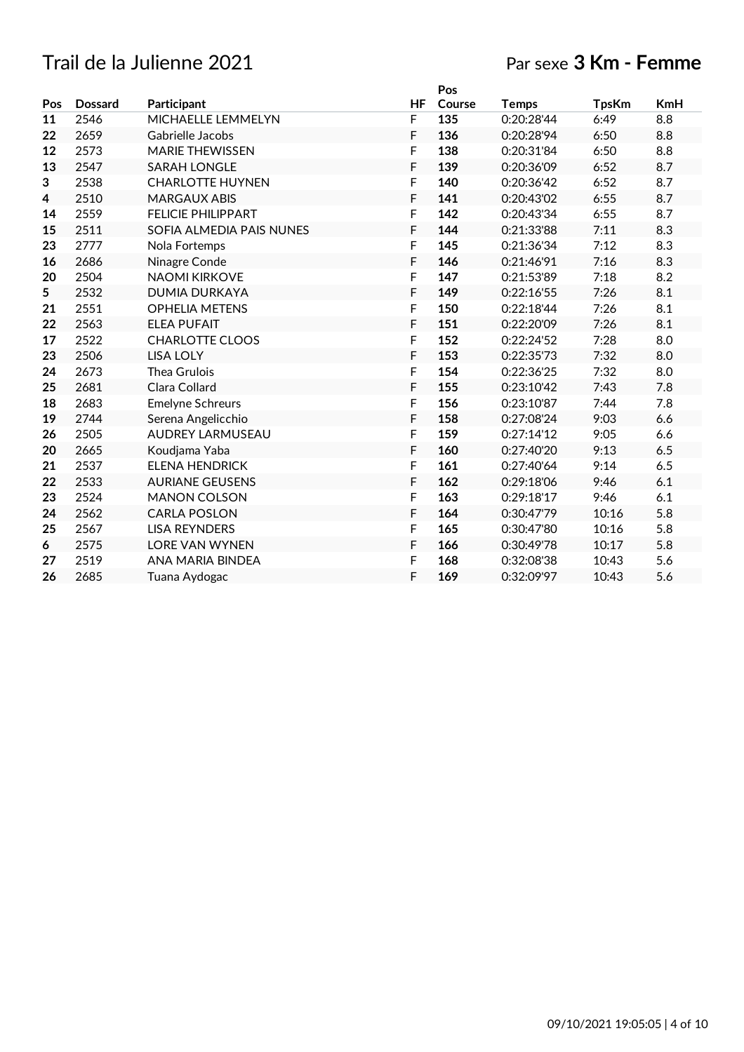# Trail de la Julienne 2021

# Par sexe **3 Km - Femme**

|     |                |                           |    | Pos    |              |              |            |
|-----|----------------|---------------------------|----|--------|--------------|--------------|------------|
| Pos | <b>Dossard</b> | Participant               | HF | Course | <b>Temps</b> | <b>TpsKm</b> | <b>KmH</b> |
| 11  | 2546           | MICHAELLE LEMMELYN        | F  | 135    | 0:20:28'44   | 6:49         | 8.8        |
| 22  | 2659           | Gabrielle Jacobs          | F  | 136    | 0:20:28'94   | 6:50         | 8.8        |
| 12  | 2573           | <b>MARIE THEWISSEN</b>    | F  | 138    | 0:20:31'84   | 6:50         | 8.8        |
| 13  | 2547           | <b>SARAH LONGLE</b>       | F  | 139    | 0:20:36'09   | 6:52         | 8.7        |
| 3   | 2538           | <b>CHARLOTTE HUYNEN</b>   | F  | 140    | 0:20:36'42   | 6:52         | 8.7        |
| 4   | 2510           | <b>MARGAUX ABIS</b>       | F  | 141    | 0:20:43'02   | 6:55         | 8.7        |
| 14  | 2559           | <b>FELICIE PHILIPPART</b> | F  | 142    | 0:20:43'34   | 6:55         | 8.7        |
| 15  | 2511           | SOFIA ALMEDIA PAIS NUNES  | F  | 144    | 0:21:33'88   | 7:11         | 8.3        |
| 23  | 2777           | Nola Fortemps             | F  | 145    | 0:21:36'34   | 7:12         | 8.3        |
| 16  | 2686           | Ninagre Conde             | F  | 146    | 0:21:46'91   | 7:16         | 8.3        |
| 20  | 2504           | <b>NAOMI KIRKOVE</b>      | F  | 147    | 0:21:53'89   | 7:18         | 8.2        |
| 5   | 2532           | <b>DUMIA DURKAYA</b>      | F  | 149    | 0:22:16'55   | 7:26         | 8.1        |
| 21  | 2551           | <b>OPHELIA METENS</b>     | F  | 150    | 0:22:18'44   | 7:26         | 8.1        |
| 22  | 2563           | <b>ELEA PUFAIT</b>        | F  | 151    | 0:22:20'09   | 7:26         | 8.1        |
| 17  | 2522           | <b>CHARLOTTE CLOOS</b>    | F  | 152    | 0:22:24'52   | 7:28         | 8.0        |
| 23  | 2506           | <b>LISA LOLY</b>          | F  | 153    | 0:22:35'73   | 7:32         | 8.0        |
| 24  | 2673           | Thea Grulois              | F  | 154    | 0:22:36'25   | 7:32         | 8.0        |
| 25  | 2681           | Clara Collard             | F  | 155    | 0:23:10'42   | 7:43         | 7.8        |
| 18  | 2683           | <b>Emelyne Schreurs</b>   | F  | 156    | 0:23:10'87   | 7:44         | 7.8        |
| 19  | 2744           | Serena Angelicchio        | F  | 158    | 0:27:08'24   | 9:03         | 6.6        |
| 26  | 2505           | <b>AUDREY LARMUSEAU</b>   | F  | 159    | 0:27:14'12   | 9:05         | 6.6        |
| 20  | 2665           | Koudjama Yaba             | F  | 160    | 0:27:40'20   | 9:13         | 6.5        |
| 21  | 2537           | <b>ELENA HENDRICK</b>     | F  | 161    | 0:27:40'64   | 9:14         | 6.5        |
| 22  | 2533           | <b>AURIANE GEUSENS</b>    | F  | 162    | 0:29:18'06   | 9:46         | 6.1        |
| 23  | 2524           | <b>MANON COLSON</b>       | F  | 163    | 0:29:18'17   | 9:46         | 6.1        |
| 24  | 2562           | <b>CARLA POSLON</b>       | F  | 164    | 0:30:47'79   | 10:16        | 5.8        |
| 25  | 2567           | <b>LISA REYNDERS</b>      | F  | 165    | 0:30:47'80   | 10:16        | 5.8        |
| 6   | 2575           | <b>LORE VAN WYNEN</b>     | F  | 166    | 0:30:49'78   | 10:17        | 5.8        |
| 27  | 2519           | ANA MARIA BINDEA          | F  | 168    | 0:32:08'38   | 10:43        | 5.6        |
| 26  | 2685           | Tuana Aydogac             | F  | 169    | 0:32:09'97   | 10:43        | 5.6        |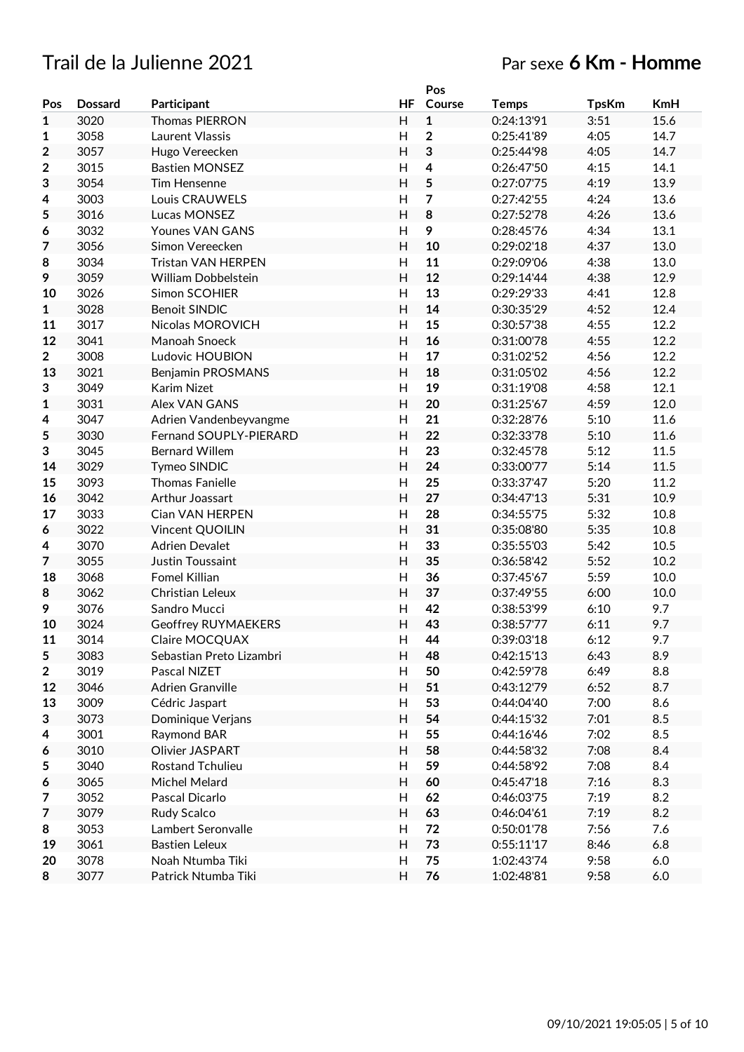# Trail de la Julienne 2021 Par sexe **6 Km - Homme**

|                  |                |                               |                | Pos            |              |              |            |
|------------------|----------------|-------------------------------|----------------|----------------|--------------|--------------|------------|
| Pos              | <b>Dossard</b> | Participant                   | <b>HF</b>      | Course         | <b>Temps</b> | <b>TpsKm</b> | <b>KmH</b> |
| $\mathbf{1}$     | 3020           | <b>Thomas PIERRON</b>         | H.             | $\mathbf{1}$   | 0:24:13'91   | 3:51         | 15.6       |
| 1                | 3058           | Laurent Vlassis               | H              | $\overline{2}$ | 0:25:41'89   | 4:05         | 14.7       |
| 2                | 3057           | Hugo Vereecken                | H              | $\mathbf 3$    | 0:25:44'98   | 4:05         | 14.7       |
| $\mathbf 2$      | 3015           | <b>Bastien MONSEZ</b>         | Н              | 4              | 0:26:47'50   | 4:15         | 14.1       |
| 3                | 3054           | Tim Hensenne                  | H              | 5              | 0:27:07'75   | 4:19         | 13.9       |
| 4                | 3003           | Louis CRAUWELS                | H              | 7              | 0:27:42'55   | 4:24         | 13.6       |
| 5                | 3016           | Lucas MONSEZ                  | H              | 8              | 0:27:52'78   | 4:26         | 13.6       |
| 6                | 3032           | <b>Younes VAN GANS</b>        | $\overline{H}$ | 9              | 0:28:45'76   | 4:34         | 13.1       |
| 7                | 3056           | Simon Vereecken               | H              | 10             | 0:29:02'18   | 4:37         | 13.0       |
| 8                | 3034           | Tristan VAN HERPEN            | Н              | 11             | 0:29:09'06   | 4:38         | 13.0       |
| 9                | 3059           | William Dobbelstein           | H              | 12             | 0:29:14'44   | 4:38         | 12.9       |
| 10               | 3026           | Simon SCOHIER                 | Н              | 13             | 0:29:29'33   | 4:41         | 12.8       |
| $\mathbf{1}$     | 3028           | <b>Benoit SINDIC</b>          | H              | 14             | 0:30:35'29   | 4:52         | 12.4       |
| 11               | 3017           | Nicolas MOROVICH              | H              | 15             | 0:30:57'38   | 4:55         | 12.2       |
| 12               | 3041           | Manoah Snoeck                 | H              | 16             | 0:31:00'78   | 4:55         | 12.2       |
| $\overline{2}$   | 3008           | Ludovic HOUBION               | H              | 17             | 0:31:02'52   | 4:56         | 12.2       |
| 13               | 3021           | Benjamin PROSMANS             | H              | 18             | 0:31:05'02   | 4:56         | 12.2       |
| 3                | 3049           | Karim Nizet                   | $\overline{H}$ | 19             | 0:31:19'08   | 4:58         | 12.1       |
| $\mathbf{1}$     | 3031           | <b>Alex VAN GANS</b>          | H              | 20             | 0:31:25'67   | 4:59         | 12.0       |
| 4                | 3047           | Adrien Vandenbeyvangme        | H              | 21             | 0:32:28'76   | 5:10         | 11.6       |
| 5                | 3030           | <b>Fernand SOUPLY-PIERARD</b> | H              | 22             | 0:32:33'78   | 5:10         | 11.6       |
| 3                | 3045           | <b>Bernard Willem</b>         | Н              | 23             | 0:32:45'78   | 5:12         | 11.5       |
| 14               | 3029           | Tymeo SINDIC                  | H              | 24             | 0:33:00'77   | 5:14         | 11.5       |
| 15               | 3093           | <b>Thomas Fanielle</b>        | Н              | 25             | 0:33:37'47   | 5:20         | 11.2       |
| 16               | 3042           | Arthur Joassart               | H              | 27             | 0:34:47'13   | 5:31         | 10.9       |
| 17               | 3033           | Cian VAN HERPEN               | H              | 28             | 0:34:55'75   | 5:32         | 10.8       |
| 6                | 3022           | Vincent QUOILIN               | H              | 31             | 0:35:08'80   | 5:35         | 10.8       |
| 4                | 3070           | <b>Adrien Devalet</b>         | $\overline{H}$ | 33             | 0:35:55'03   | 5:42         | 10.5       |
| $\overline{7}$   | 3055           | Justin Toussaint              | H              | 35             | 0:36:58'42   | 5:52         | 10.2       |
| 18               | 3068           | Fomel Killian                 | Н              | 36             | 0:37:45'67   | 5:59         | 10.0       |
| 8                | 3062           | Christian Leleux              | H              | 37             | 0:37:49'55   | 6:00         | 10.0       |
| 9                | 3076           | Sandro Mucci                  | Н              | 42             | 0:38:53'99   | 6:10         | 9.7        |
| 10               | 3024           | <b>Geoffrey RUYMAEKERS</b>    | H              | 43             | 0:38:57'77   | 6:11         | 9.7        |
| 11               | 3014           | Claire MOCQUAX                | Н              | 44             | 0:39:03'18   | 6:12         | 9.7        |
| 5                | 3083           | Sebastian Preto Lizambri      | H              | 48             | 0:42:15'13   | 6:43         | 8.9        |
| $\boldsymbol{2}$ | 3019           | Pascal NIZET                  | H              | 50             | 0:42:59'78   | 6:49         | 8.8        |
| 12               | 3046           | <b>Adrien Granville</b>       | H              | 51             | 0:43:12'79   | 6:52         | 8.7        |
| 13               | 3009           | Cédric Jaspart                | Н              | 53             | 0:44:04'40   | 7:00         | 8.6        |
| 3                | 3073           | Dominique Verjans             | H              | 54             | 0:44:15'32   | 7:01         | 8.5        |
| 4                | 3001           | Raymond BAR                   | н              | 55             | 0:44:16'46   | 7:02         | 8.5        |
| 6                | 3010           | Olivier JASPART               | H              | 58             | 0:44:58'32   | 7:08         | 8.4        |
| 5                | 3040           | <b>Rostand Tchulieu</b>       | н              | 59             | 0:44:58'92   | 7:08         | 8.4        |
| 6                | 3065           | Michel Melard                 | H              | 60             | 0:45:47'18   | 7:16         | 8.3        |
| 7                | 3052           | Pascal Dicarlo                | н              | 62             | 0:46:03'75   | 7:19         | 8.2        |
| $\overline{7}$   | 3079           | Rudy Scalco                   | H              | 63             | 0:46:04'61   | 7:19         | 8.2        |
| 8                | 3053           | Lambert Seronvalle            | H              | 72             | 0:50:01'78   | 7:56         | 7.6        |
| 19               | 3061           | <b>Bastien Leleux</b>         | H              | 73             | 0:55:11'17   | 8:46         | 6.8        |
| 20               | 3078           | Noah Ntumba Tiki              | Н              | 75             | 1:02:43'74   | 9:58         | $6.0\,$    |
| 8                | 3077           | Patrick Ntumba Tiki           | H              | 76             | 1:02:48'81   | 9:58         | 6.0        |
|                  |                |                               |                |                |              |              |            |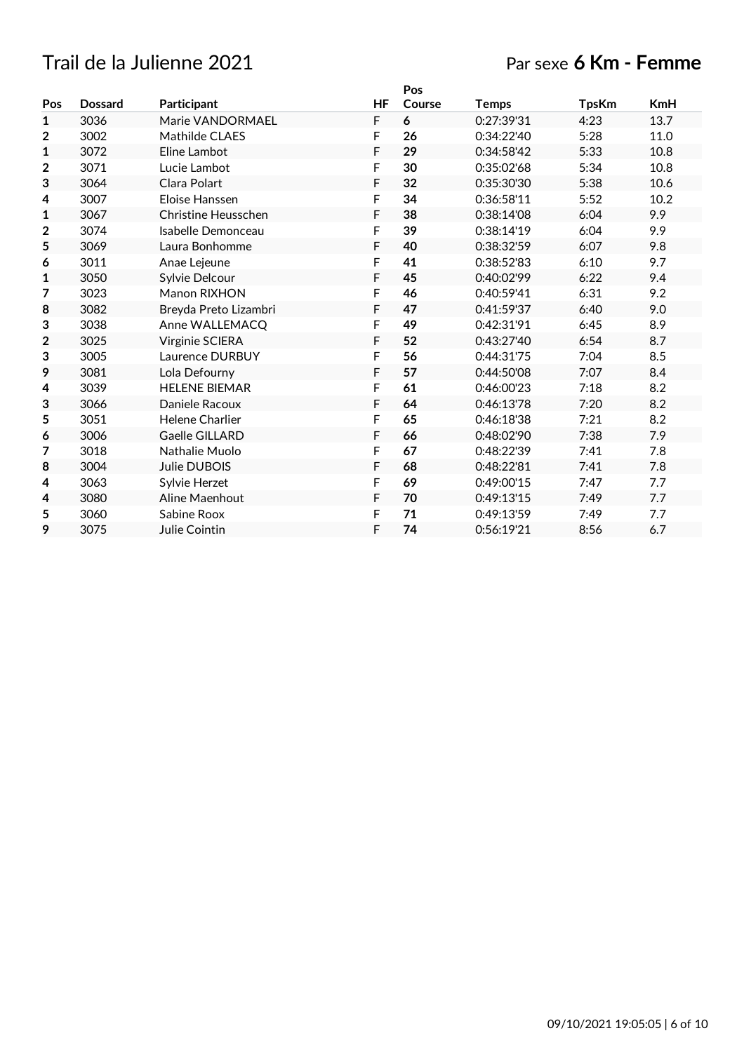# Trail de la Julienne 2021 Par sexe **6 Km - Femme**

|              |                |                            |           | Pos    |            |              |            |
|--------------|----------------|----------------------------|-----------|--------|------------|--------------|------------|
| Pos          | <b>Dossard</b> | Participant                | <b>HF</b> | Course | Temps      | <b>TpsKm</b> | <b>KmH</b> |
| 1            | 3036           | Marie VANDORMAEL           | F         | 6      | 0:27:39'31 | 4:23         | 13.7       |
| 2            | 3002           | Mathilde CLAES             | F         | 26     | 0:34:22'40 | 5:28         | 11.0       |
| $\mathbf{1}$ | 3072           | Eline Lambot               | F         | 29     | 0:34:58'42 | 5:33         | 10.8       |
| 2            | 3071           | Lucie Lambot               | F         | 30     | 0:35:02'68 | 5:34         | 10.8       |
| 3            | 3064           | Clara Polart               | F         | 32     | 0:35:30'30 | 5:38         | 10.6       |
| 4            | 3007           | Eloise Hanssen             | F         | 34     | 0:36:58'11 | 5:52         | 10.2       |
| 1            | 3067           | <b>Christine Heusschen</b> | F         | 38     | 0:38:14'08 | 6:04         | 9.9        |
| 2            | 3074           | Isabelle Demonceau         | F         | 39     | 0:38:14'19 | 6:04         | 9.9        |
| 5            | 3069           | Laura Bonhomme             | F         | 40     | 0:38:32'59 | 6:07         | 9.8        |
| 6            | 3011           | Anae Lejeune               | F         | 41     | 0:38:52'83 | 6:10         | 9.7        |
| 1            | 3050           | Sylvie Delcour             | F         | 45     | 0:40:02'99 | 6:22         | 9.4        |
| 7            | 3023           | Manon RIXHON               | F         | 46     | 0:40:59'41 | 6:31         | 9.2        |
| 8            | 3082           | Breyda Preto Lizambri      | F         | 47     | 0:41:59'37 | 6:40         | 9.0        |
| 3            | 3038           | Anne WALLEMACQ             | F         | 49     | 0:42:31'91 | 6:45         | 8.9        |
| 2            | 3025           | Virginie SCIERA            | F         | 52     | 0:43:27'40 | 6:54         | 8.7        |
| 3            | 3005           | Laurence DURBUY            | F         | 56     | 0:44:31'75 | 7:04         | 8.5        |
| 9            | 3081           | Lola Defourny              | F         | 57     | 0:44:50'08 | 7:07         | 8.4        |
| 4            | 3039           | <b>HELENE BIEMAR</b>       | F         | 61     | 0:46:00'23 | 7:18         | 8.2        |
| 3            | 3066           | Daniele Racoux             | F         | 64     | 0:46:13'78 | 7:20         | 8.2        |
| 5            | 3051           | <b>Helene Charlier</b>     | F         | 65     | 0:46:18'38 | 7:21         | 8.2        |
| 6            | 3006           | Gaelle GILLARD             | F         | 66     | 0:48:02'90 | 7:38         | 7.9        |
| 7            | 3018           | Nathalie Muolo             | F         | 67     | 0:48:22'39 | 7:41         | 7.8        |
| 8            | 3004           | Julie DUBOIS               | F         | 68     | 0:48:22'81 | 7:41         | 7.8        |
| 4            | 3063           | Sylvie Herzet              | F         | 69     | 0:49:00'15 | 7:47         | 7.7        |
| 4            | 3080           | Aline Maenhout             | F         | 70     | 0:49:13'15 | 7:49         | 7.7        |
| 5            | 3060           | Sabine Roox                | F         | 71     | 0:49:13'59 | 7:49         | 7.7        |
| 9            | 3075           | Julie Cointin              | F         | 74     | 0:56:19'21 | 8:56         | 6.7        |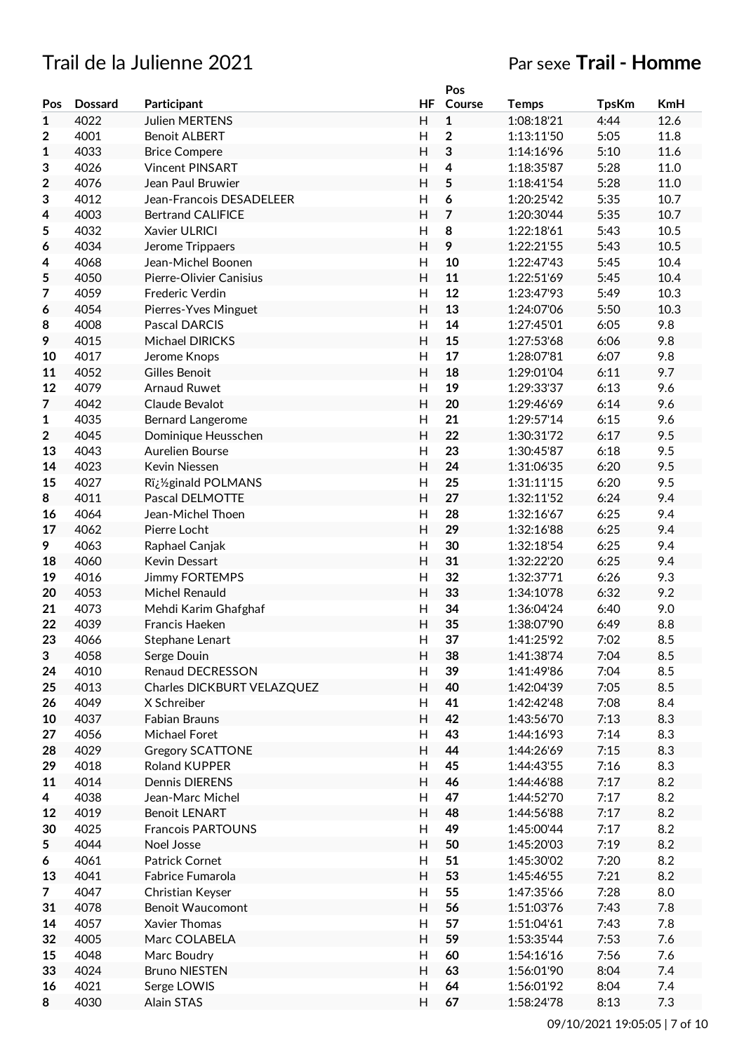# Trail de la Julienne 2021 Par sexe **Trail - Homme**

|                |                |                            |                | Pos                     |              |              |            |
|----------------|----------------|----------------------------|----------------|-------------------------|--------------|--------------|------------|
| Pos            | <b>Dossard</b> | Participant                | HF             | Course                  | <b>Temps</b> | <b>TpsKm</b> | <b>KmH</b> |
| 1              | 4022           | <b>Julien MERTENS</b>      | H              | $\mathbf{1}$            | 1:08:18'21   | 4:44         | 12.6       |
| 2              | 4001           | <b>Benoit ALBERT</b>       | H              | $\overline{\mathbf{2}}$ | 1:13:11'50   | 5:05         | 11.8       |
| 1              | 4033           | <b>Brice Compere</b>       | $\overline{H}$ | 3                       | 1:14:16'96   | 5:10         | 11.6       |
| 3              | 4026           | <b>Vincent PINSART</b>     | H              | $\overline{4}$          | 1:18:35'87   | 5:28         | 11.0       |
| $\overline{2}$ | 4076           | Jean Paul Bruwier          | H              | 5                       | 1:18:41'54   | 5:28         | 11.0       |
| 3              | 4012           | Jean-Francois DESADELEER   | $\overline{H}$ | 6                       | 1:20:25'42   | 5:35         | 10.7       |
| 4              | 4003           | <b>Bertrand CALIFICE</b>   | H              | $\overline{7}$          | 1:20:30'44   | 5:35         | 10.7       |
|                | 4032           |                            | H              | 8                       | 1:22:18'61   | 5:43         | 10.5       |
| 5              |                | Xavier ULRICI              | $\overline{H}$ |                         |              |              |            |
| 6              | 4034           | Jerome Trippaers           |                | 9                       | 1:22:21'55   | 5:43         | 10.5       |
| 4              | 4068           | Jean-Michel Boonen         | $\overline{H}$ | 10                      | 1:22:47'43   | 5:45         | 10.4       |
| 5              | 4050           | Pierre-Olivier Canisius    | $\overline{H}$ | 11                      | 1:22:51'69   | 5:45         | 10.4       |
| 7              | 4059           | Frederic Verdin            | $\overline{H}$ | 12                      | 1:23:47'93   | 5:49         | 10.3       |
| 6              | 4054           | Pierres-Yves Minguet       | $\overline{H}$ | 13                      | 1:24:07'06   | 5:50         | 10.3       |
| 8              | 4008           | <b>Pascal DARCIS</b>       | $\overline{H}$ | 14                      | 1:27:45'01   | 6:05         | 9.8        |
| 9              | 4015           | Michael DIRICKS            | H              | 15                      | 1:27:53'68   | 6:06         | 9.8        |
| 10             | 4017           | Jerome Knops               | H              | 17                      | 1:28:07'81   | 6:07         | 9.8        |
| 11             | 4052           | <b>Gilles Benoit</b>       | H              | 18                      | 1:29:01'04   | 6:11         | 9.7        |
| 12             | 4079           | <b>Arnaud Ruwet</b>        | $\overline{H}$ | 19                      | 1:29:33'37   | 6:13         | 9.6        |
| 7              | 4042           | Claude Bevalot             | $\overline{H}$ | 20                      | 1:29:46'69   | 6:14         | 9.6        |
| $\mathbf{1}$   | 4035           | Bernard Langerome          | $\overline{H}$ | 21                      | 1:29:57'14   | 6:15         | 9.6        |
| $\overline{2}$ | 4045           | Dominique Heusschen        | $\overline{H}$ | 22                      | 1:30:31'72   | 6:17         | 9.5        |
| 13             | 4043           | Aurelien Bourse            | H              | 23                      | 1:30:45'87   | 6:18         | 9.5        |
| 14             | 4023           | Kevin Niessen              | $\overline{H}$ | 24                      | 1:31:06'35   | 6:20         | 9.5        |
| 15             | 4027           | R�ginald POLMANS           | H              | 25                      | 1:31:11'15   | 6:20         | 9.5        |
| 8              | 4011           | Pascal DELMOTTE            | H              | 27                      | 1:32:11'52   | 6:24         | 9.4        |
| 16             | 4064           | Jean-Michel Thoen          | H              | 28                      | 1:32:16'67   | 6:25         | 9.4        |
| 17             | 4062           | Pierre Locht               | $\overline{H}$ | 29                      | 1:32:16'88   | 6:25         | 9.4        |
|                |                |                            | $\overline{H}$ | 30                      |              |              |            |
| 9              | 4063           | Raphael Canjak             |                |                         | 1:32:18'54   | 6:25         | 9.4        |
| 18             | 4060           | Kevin Dessart              | $\overline{H}$ | 31                      | 1:32:22'20   | 6:25         | 9.4        |
| 19             | 4016           | <b>Jimmy FORTEMPS</b>      | H              | 32                      | 1:32:37'71   | 6:26         | 9.3        |
| 20             | 4053           | Michel Renauld             | H              | 33                      | 1:34:10'78   | 6:32         | 9.2        |
| 21             | 4073           | Mehdi Karim Ghafghaf       | H              | 34                      | 1:36:04'24   | 6:40         | 9.0        |
| 22             | 4039           | Francis Haeken             | $\overline{H}$ | 35                      | 1:38:07'90   | 6:49         | 8.8        |
| 23             | 4066           | Stephane Lenart            | $\overline{H}$ | 37                      | 1:41:25'92   | 7:02         | 8.5        |
| 3              | 4058           | Serge Douin                | H              | 38                      | 1:41:38'74   | 7:04         | 8.5        |
| 24             | 4010           | Renaud DECRESSON           | H              | 39                      | 1:41:49'86   | 7:04         | 8.5        |
| 25             | 4013           | Charles DICKBURT VELAZQUEZ | H              | 40                      | 1:42:04'39   | 7:05         | 8.5        |
| 26             | 4049           | X Schreiber                | H              | 41                      | 1:42:42'48   | 7:08         | 8.4        |
| 10             | 4037           | <b>Fabian Brauns</b>       | H              | 42                      | 1:43:56'70   | 7:13         | 8.3        |
| 27             | 4056           | Michael Foret              | H              | 43                      | 1:44:16'93   | 7:14         | 8.3        |
| 28             | 4029           | <b>Gregory SCATTONE</b>    | H              | 44                      | 1:44:26'69   | 7:15         | 8.3        |
| 29             | 4018           | Roland KUPPER              | H              | 45                      | 1:44:43'55   | 7:16         | 8.3        |
| 11             | 4014           | <b>Dennis DIERENS</b>      | H              | 46                      | 1:44:46'88   | 7:17         | 8.2        |
| 4              | 4038           | Jean-Marc Michel           | Н              | 47                      | 1:44:52'70   | 7:17         | 8.2        |
| 12             | 4019           | <b>Benoit LENART</b>       | H              | 48                      | 1:44:56'88   | 7:17         | 8.2        |
| 30             | 4025           | Francois PARTOUNS          | H              | 49                      | 1:45:00'44   | 7:17         | 8.2        |
|                | 4044           | Noel Josse                 | H              | 50                      |              | 7:19         | 8.2        |
| 5              |                |                            |                |                         | 1:45:20'03   |              |            |
| 6              | 4061           | Patrick Cornet             | H              | 51                      | 1:45:30'02   | 7:20         | 8.2        |
| 13             | 4041           | Fabrice Fumarola           | H              | 53                      | 1:45:46'55   | 7:21         | 8.2        |
| $\overline{7}$ | 4047           | Christian Keyser           | H              | 55                      | 1:47:35'66   | 7:28         | 8.0        |
| 31             | 4078           | <b>Benoit Waucomont</b>    | H              | 56                      | 1:51:03'76   | 7:43         | 7.8        |
| 14             | 4057           | Xavier Thomas              | H              | 57                      | 1:51:04'61   | 7:43         | 7.8        |
| 32             | 4005           | Marc COLABELA              | H              | 59                      | 1:53:35'44   | 7:53         | 7.6        |
| 15             | 4048           | Marc Boudry                | Н              | 60                      | 1:54:16'16   | 7:56         | 7.6        |
| 33             | 4024           | <b>Bruno NIESTEN</b>       | H              | 63                      | 1:56:01'90   | 8:04         | 7.4        |
| 16             | 4021           | Serge LOWIS                | H              | 64                      | 1:56:01'92   | 8:04         | 7.4        |
| 8              | 4030           | Alain STAS                 | H              | 67                      | 1:58:24'78   | 8:13         | 7.3        |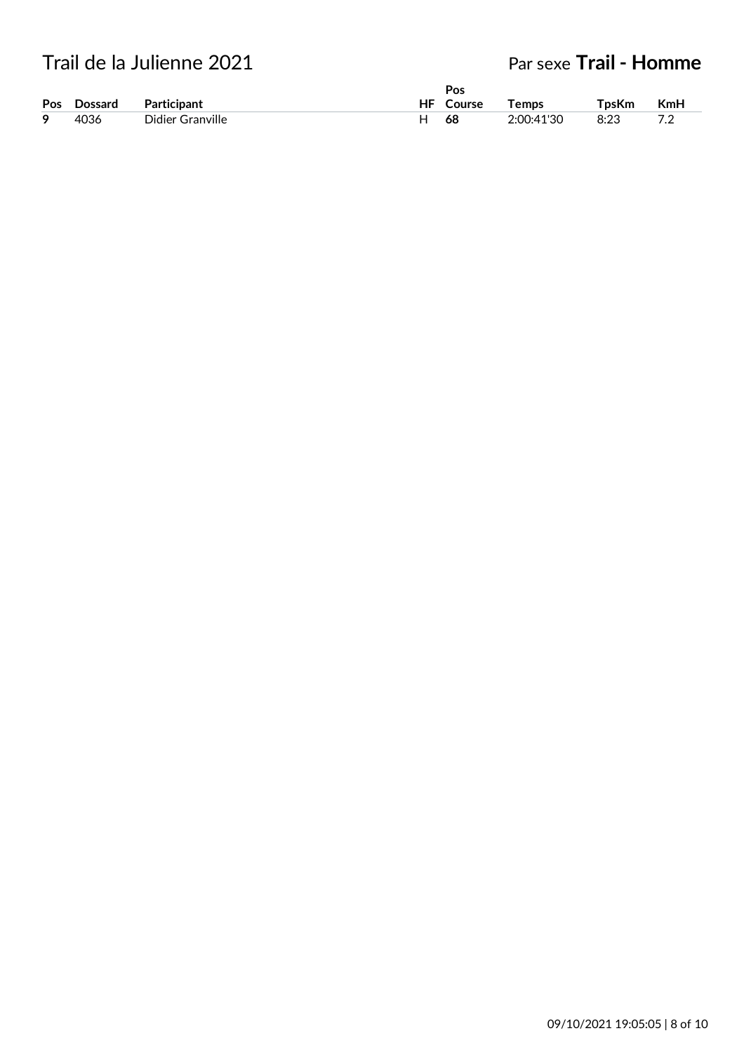# Trail de la Julienne 2021

# Par sexe **Trail - Homme**

|   |             |                  | Pos       |            |       |            |
|---|-------------|------------------|-----------|------------|-------|------------|
|   | Pos Dossard | Participant      | HF Course | Temps      | TpsKm | <b>KmH</b> |
| 9 | 4036        | Didier Granville | 68        | 2:00:41'30 | 8:23  | 70         |